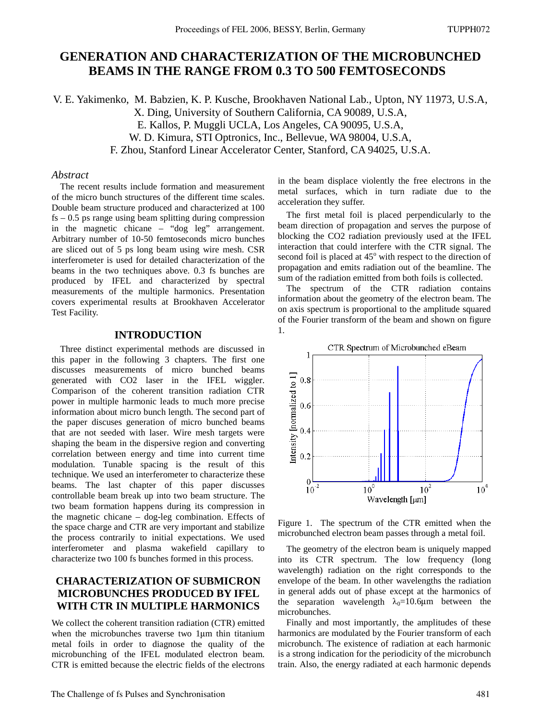# **GENERATION AND CHARACTERIZATION OF THE MICROBUNCHED BEAMS IN THE RANGE FROM 0.3 TO 500 FEMTOSECONDS**

V. E. Yakimenko, M. Babzien, K. P. Kusche, Brookhaven National Lab., Upton, NY 11973, U.S.A, X. Ding, University of Southern California, CA 90089, U.S.A,

E. Kallos, P. Muggli UCLA, Los Angeles, CA 90095, U.S.A,

W. D. Kimura, STI Optronics, Inc., Bellevue, WA 98004, U.S.A,

F. Zhou, Stanford Linear Accelerator Center, Stanford, CA 94025, U.S.A.

#### *Abstract*

The recent results include formation and measurement of the micro bunch structures of the different time scales. Double beam structure produced and characterized at 100  $fs - 0.5$  ps range using beam splitting during compression in the magnetic chicane – "dog leg" arrangement. Arbitrary number of 10-50 femtoseconds micro bunches are sliced out of 5 ps long beam using wire mesh. CSR interferometer is used for detailed characterization of the beams in the two techniques above. 0.3 fs bunches are produced by IFEL and characterized by spectral measurements of the multiple harmonics. Presentation covers experimental results at Brookhaven Accelerator Test Facility.

#### **INTRODUCTION**

Three distinct experimental methods are discussed in this paper in the following 3 chapters. The first one discusses measurements of micro bunched beams generated with CO2 laser in the IFEL wiggler. Comparison of the coherent transition radiation CTR power in multiple harmonic leads to much more precise information about micro bunch length. The second part of the paper discuses generation of micro bunched beams that are not seeded with laser. Wire mesh targets were shaping the beam in the dispersive region and converting correlation between energy and time into current time modulation. Tunable spacing is the result of this technique. We used an interferometer to characterize these beams. The last chapter of this paper discusses controllable beam break up into two beam structure. The two beam formation happens during its compression in the magnetic chicane – dog-leg combination. Effects of the space charge and CTR are very important and stabilize the process contrarily to initial expectations. We used interferometer and plasma wakefield capillary to characterize two 100 fs bunches formed in this process.

## **CHARACTERIZATION OF SUBMICRON MICROBUNCHES PRODUCED BY IFEL WITH CTR IN MULTIPLE HARMONICS**

We collect the coherent transition radiation (CTR) emitted when the microbunches traverse two 1μm thin titanium metal foils in order to diagnose the quality of the microbunching of the IFEL modulated electron beam. CTR is emitted because the electric fields of the electrons in the beam displace violently the free electrons in the metal surfaces, which in turn radiate due to the acceleration they suffer.

The first metal foil is placed perpendicularly to the beam direction of propagation and serves the purpose of blocking the CO2 radiation previously used at the IFEL interaction that could interfere with the CTR signal. The second foil is placed at 45° with respect to the direction of propagation and emits radiation out of the beamline. The sum of the radiation emitted from both foils is collected.

The spectrum of the CTR radiation contains information about the geometry of the electron beam. The on axis spectrum is proportional to the amplitude squared of the Fourier transform of the beam and shown on figure 1.



Figure 1. The spectrum of the CTR emitted when the microbunched electron beam passes through a metal foil.

The geometry of the electron beam is uniquely mapped into its CTR spectrum. The low frequency (long wavelength) radiation on the right corresponds to the envelope of the beam. In other wavelengths the radiation in general adds out of phase except at the harmonics of the separation wavelength  $\lambda_0=10.6\mu$ m between the microbunches.

Finally and most importantly, the amplitudes of these harmonics are modulated by the Fourier transform of each microbunch. The existence of radiation at each harmonic is a strong indication for the periodicity of the microbunch train. Also, the energy radiated at each harmonic depends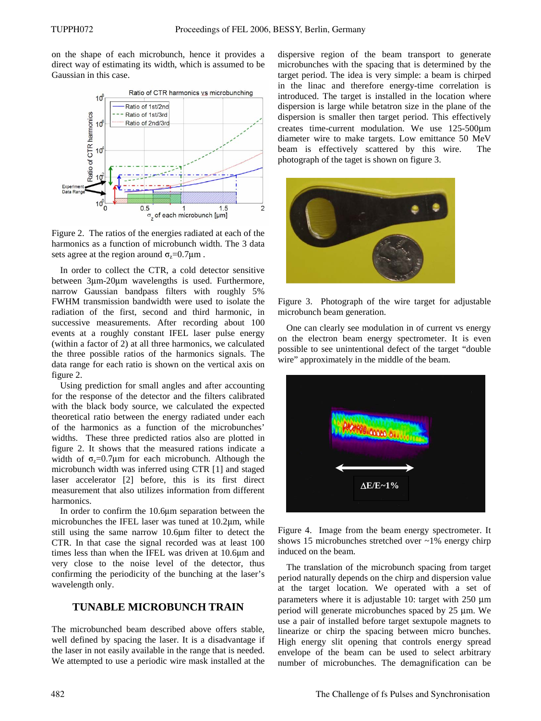on the shape of each microbunch, hence it provides a direct way of estimating its width, which is assumed to be Gaussian in this case.



Figure 2. The ratios of the energies radiated at each of the harmonics as a function of microbunch width. The 3 data sets agree at the region around  $\sigma_z = 0.7 \mu m$ .

In order to collect the CTR, a cold detector sensitive between 3μm-20μm wavelengths is used. Furthermore, narrow Gaussian bandpass filters with roughly 5% FWHM transmission bandwidth were used to isolate the radiation of the first, second and third harmonic, in successive measurements. After recording about 100 events at a roughly constant IFEL laser pulse energy (within a factor of 2) at all three harmonics, we calculated the three possible ratios of the harmonics signals. The data range for each ratio is shown on the vertical axis on figure 2.

Using prediction for small angles and after accounting for the response of the detector and the filters calibrated with the black body source, we calculated the expected theoretical ratio between the energy radiated under each of the harmonics as a function of the microbunches' widths. These three predicted ratios also are plotted in figure 2. It shows that the measured rations indicate a width of  $\sigma_z = 0.7\mu m$  for each microbunch. Although the microbunch width was inferred using CTR [1] and staged laser accelerator [2] before, this is its first direct measurement that also utilizes information from different harmonics.

In order to confirm the 10.6μm separation between the microbunches the IFEL laser was tuned at 10.2μm, while still using the same narrow 10.6μm filter to detect the CTR. In that case the signal recorded was at least 100 times less than when the IFEL was driven at 10.6μm and very close to the noise level of the detector, thus confirming the periodicity of the bunching at the laser's wavelength only.

#### **TUNABLE MICROBUNCH TRAIN**

The microbunched beam described above offers stable, well defined by spacing the laser. It is a disadvantage if the laser in not easily available in the range that is needed. We attempted to use a periodic wire mask installed at the

dispersive region of the beam transport to generate microbunches with the spacing that is determined by the target period. The idea is very simple: a beam is chirped in the linac and therefore energy-time correlation is introduced. The target is installed in the location where dispersion is large while betatron size in the plane of the dispersion is smaller then target period. This effectively creates time-current modulation. We use 125-500μm diameter wire to make targets. Low emittance 50 MeV beam is effectively scattered by this wire. The photograph of the taget is shown on figure 3.



Figure 3. Photograph of the wire target for adjustable microbunch beam generation.

One can clearly see modulation in of current vs energy on the electron beam energy spectrometer. It is even possible to see unintentional defect of the target "double wire" approximately in the middle of the beam.



Figure 4. Image from the beam energy spectrometer. It shows 15 microbunches stretched over  $\sim$ 1% energy chirp induced on the beam.

The translation of the microbunch spacing from target period naturally depends on the chirp and dispersion value at the target location. We operated with a set of parameters where it is adjustable 10: target with 250 μm period will generate microbunches spaced by 25 μm. We use a pair of installed before target sextupole magnets to linearize or chirp the spacing between micro bunches. High energy slit opening that controls energy spread envelope of the beam can be used to select arbitrary number of microbunches. The demagnification can be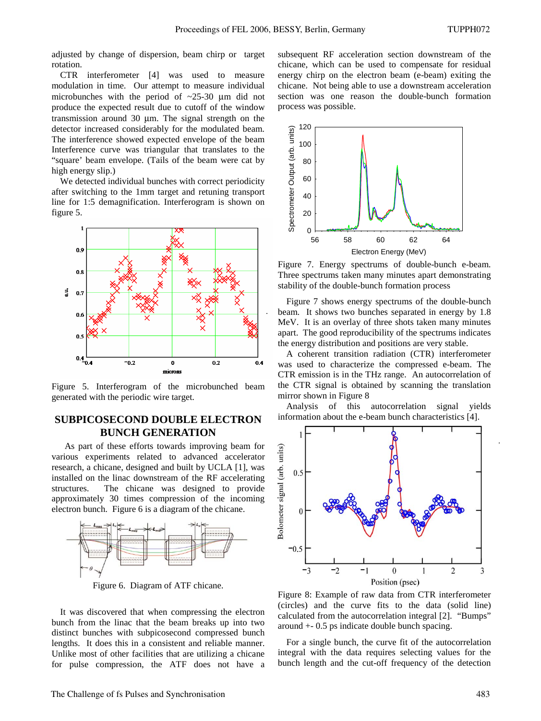adjusted by change of dispersion, beam chirp or target rotation.

CTR interferometer [4] was used to measure modulation in time. Our attempt to measure individual microbunches with the period of ~25-30 μm did not produce the expected result due to cutoff of the window transmission around 30 μm. The signal strength on the detector increased considerably for the modulated beam. The interference showed expected envelope of the beam Interference curve was triangular that translates to the "square' beam envelope. (Tails of the beam were cat by high energy slip.)

We detected individual bunches with correct periodicity after switching to the 1mm target and retuning transport line for 1:5 demagnification. Interferogram is shown on figure 5.



Figure 5. Interferogram of the microbunched beam generated with the periodic wire target.

### **SUBPICOSECOND DOUBLE ELECTRON BUNCH GENERATION**

 As part of these efforts towards improving beam for various experiments related to advanced accelerator research, a chicane, designed and built by UCLA [1], was installed on the linac downstream of the RF accelerating structures. The chicane was designed to provide approximately 30 times compression of the incoming electron bunch. Figure 6 is a diagram of the chicane.



Figure 6. Diagram of ATF chicane.

It was discovered that when compressing the electron bunch from the linac that the beam breaks up into two distinct bunches with subpicosecond compressed bunch lengths. It does this in a consistent and reliable manner. Unlike most of other facilities that are utilizing a chicane for pulse compression, the ATF does not have a subsequent RF acceleration section downstream of the chicane, which can be used to compensate for residual energy chirp on the electron beam (e-beam) exiting the chicane. Not being able to use a downstream acceleration section was one reason the double-bunch formation process was possible.



Figure 7. Energy spectrums of double-bunch e-beam. Three spectrums taken many minutes apart demonstrating stability of the double-bunch formation process

Figure 7 shows energy spectrums of the double-bunch beam. It shows two bunches separated in energy by 1.8 MeV. It is an overlay of three shots taken many minutes apart. The good reproducibility of the spectrums indicates the energy distribution and positions are very stable.

A coherent transition radiation (CTR) interferometer was used to characterize the compressed e-beam. The CTR emission is in the THz range. An autocorrelation of the CTR signal is obtained by scanning the translation mirror shown in Figure 8

Analysis of this autocorrelation signal yields information about the e-beam bunch characteristics [4].



Figure 8: Example of raw data from CTR interferometer (circles) and the curve fits to the data (solid line) calculated from the autocorrelation integral [2]. "Bumps" around +- 0.5 ps indicate double bunch spacing.

For a single bunch, the curve fit of the autocorrelation integral with the data requires selecting values for the bunch length and the cut-off frequency of the detection